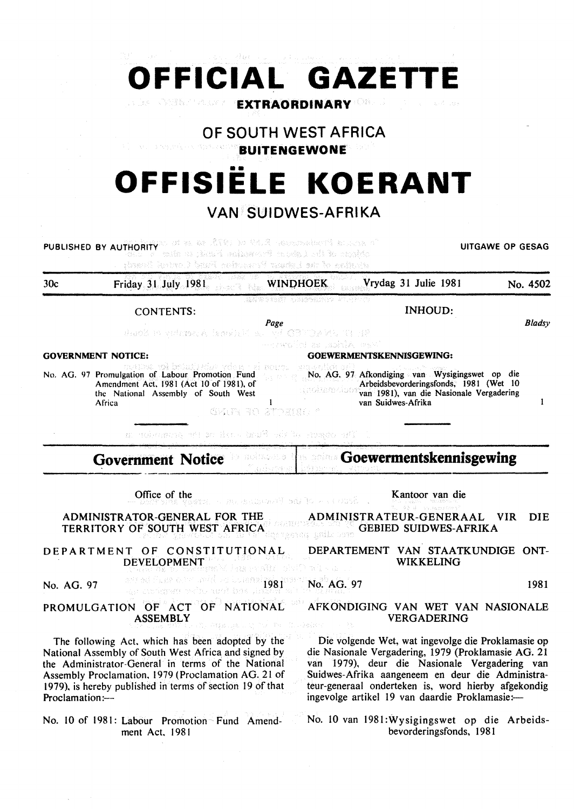# **OFFICIAL GAZETTE CASSES** CRUZE **EXTRAORDINARY**

**OF SOUTH WEST AFRICA** 

**BUITENGEWONE** 

# **OFFISIELE KOERANT**

## **VAN SUIDWES-AFRIKA**

PUBLISHED BY AUTHORITY OF BE ARREST MESSAGE OF GESAGE OF GESAGE OF GESAGE OF GESAGE OF THE UITGAWE OF GESAGE Justice J. bruill noticearely wanted that Cordinals 30c Friday 31 July 1981 WINDHOEK Vrydag 31 Julie 1981 No. 4502 CONTENTS: INHOUD:  $\frac{Page}{Type}$ *Bladsy*  Sandwick GOVERNMENT NOTICE: GOEWERMENTSKENNISGEWING: No. AG. 97 Afkondiging van Wysigingswet op die No. AG. 97 Promulgation of Labour Promotion Fund Amendment Act. 1981 (Act 10 of 1981), of Arbeidsbevorderingsfonds, 1981 (Wet 10 dudxmolum the National Assembly of South West van 1981), van die Nasionale Vergadering van Suidwes-Afrika  $\mathbf{I}$ Africa GAIN 30 STORIEL Da bases di le fans basi di la crance di **Goewermentskennisgewing Government Notice**  Office of the Kantoor van die Second of the Production ADMINISTRATOR-GENERAL FOR THE ADMINISTRATEUR-GENERAAL VIR DIE TERRITORY OF SOUTH WEST AFRICA GEBIED SUIDWES-AFRIKA kerni knik DEPARTMENT OF CONSTITUTIONAL DEPARTEMENT VAN STAATKUNDIGE ONT-WIKKELING DEVELOPMENT has rufik del No. AG. 97 **1981 Service Communities Luterral page** No. AG. 97 1981 PROMULGATION OF ACT OF NATIONAL AFKONDIGING VAN WET VAN NASIONALE ASSEMBLY VERGADERING The following Act. which has been adopted by the Die volgende Wet, wat ingevolge die Proklamasie op National Assembly of South West Africa and signed by die Nasionale Vergadering, 1979 (Proklamasie AG. 21 van 1979), deur die Nasionale Vergadering van the Administrator-General in terms of the National Assembly Proclamation. 1979 (Proclamation AG. 21 of Suidwes-Afrika aangeneem en deur die Administra-1979), is hereby published in terms of section 19 of that teur-generaal onderteken is, word hierby afgekondig Proclamation:ingevolge artikel 19 van daardie Proklamasie:-No. 10 van 1981 :Wysigingswet op die Arbeids-No. 10 of 1981: Labour Promotion Fund Amendment Act. 198 I bevorderingsfonds, 1981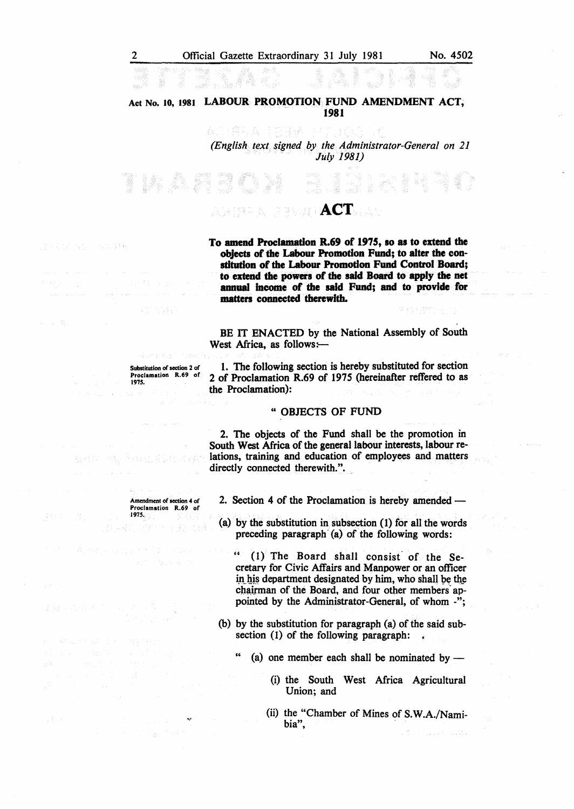### Act No. 10, 1981 LABOUR PROMOTION FUND AMENDMENT ACT; 1981

去空下算印表 그 다들게 *(English text signed by the Administrator-General on 21 July 1981)* 

IV DR

*ACT* 

To amend Proclamation R.69 of 1975, so as to extend the objects of the Labour Promotion Fund; to alter the constitution of the Labour Promotion Fund Control Board; to extend the powers of the said Board to apply the net annual income of the said Fund; and to provide for matters connected therewith.

BE IT ENACTED by the National Assembly of South West Africa, as follows:-

1. The following section is hereby substituted for section 2 of Proclamation R.69 of 1975 (hereinafter reffered to as the Proclamation):

#### " OBJECTS OF FUND

2. The objects of the Fund shall be the promotion in South West Africa of the general labour interests, labour relations, training and education of employees and matters directly connected therewith.".

2. Section 4 of the Proclamation is hereby amended -

(a) by the substitution in subsection (1) for all the words preceding paragraph  $(a)$  of the following words:

 $(1)$  The Board shall consist of the Secretarv for Civic Affairs and Manpower or an officer in his department designated by him, who shall be the chairman of the Board, and four other members appointed by the Administrator-General, of whom -";

(b) by the substitution for paragraph (a) of the said subsection (1) of the following paragraph:  $\frac{1}{4}$ 

(a) one member each shall be nominated by  $-$ 

- (i) the South West Africa Agricultural Union; and
- (ii) the "Chamber of Mines of S.W.A./Namibia",

Substitution of section 2 of Proclamation R.69 of

e parte

Amendment of section 4 of Proclamation R.69 of

1975.

*191S.* 

maid for sure country to

in gr

 $\sqrt{1-\alpha}$  .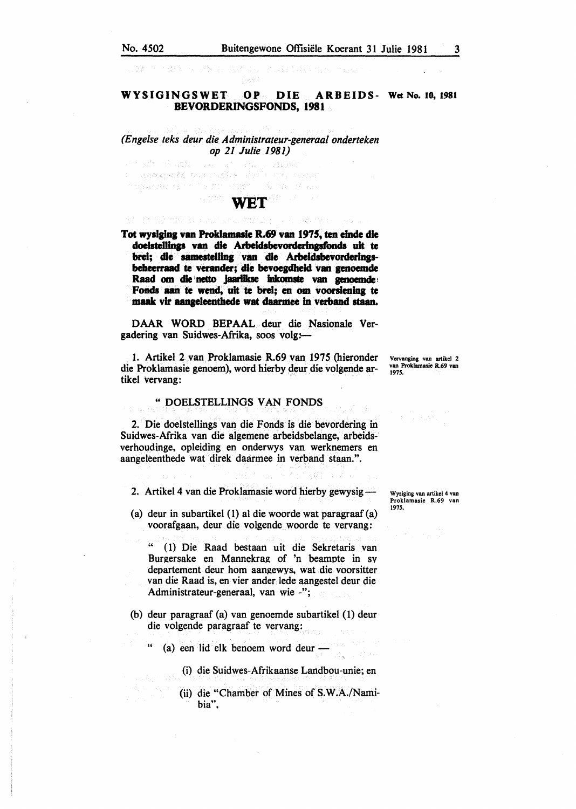#### WYSIGINGSWET OP DIE ARBEIDS- Wet No. 10, 1981 BEVORDERINGSFONDS, 1981

### *(Engelse teks deur die Administrateur-generaal onderteken op 21 Julie 1981)*

a kari a matsa College Additional Manpoor of marketen in the  $\pi_{\alpha} = \delta + \gamma$  .

# WET

Tot wysiging van Proklamasie R.69 van 1975, ten einde die doelstellings van die Arbeidsbevorderingsfonds uit te brei; die samestelling van die Arbeidsbevorderingsbeheerraad te verander; die bevoegdheid van genoemde Raad om die netto jaarlikse inkomste van genoemde Fonds aan te wend, uit te brei; en om voorsiening te maak vir aangeleenthede wat daarmee in verband staan.

DAAR WORD BEPAAL deur die Nasionale Vergadering van Suidwes-Afrika, soos volg:

1. Artikel 2 van Proklamasie R.69 van 1975 (hieronder die Proklamasie genoem), word hierby deur die volgende artikel vervang:

#### " DOELSTELLINGS VAN FONDS

2. Die doelstellings van die Fonds is die bevordering in Suidwes-Afrika van die algemene arbeidsbelange, arbeidsverhoudinge, opleiding en onderwys van werknemers en aangeleenthede wat direk daarmee in verband staan.".

2. Artikel 4 van die Proklamasie word hierby gewysig-

(a) deur in subartikel (1) at die woorde wat paragraaf (a) voorafgaan, deur die volgende woorde te vervang:

" ( 1) Die Raad bestaan uit die Sekretaris van Burgersake en Mannekrag of 'n beampte in sv departement deur hom aangewys, wat die voorsitter van die Raad is, en vier ander lede aangestel deur die Administrateur-generaal, van wie -";

- (b) deur paragraaf (a) van genoemde subartikel (1) deur die volgende paragraaf te vervang:
	- (a) een lid elk benoem word deur -
		- (i) die Suidwes-Afrikaanse Landbou-unie; en
		- (ii) die "Chamber of Mines of S.W.A./Namibia",

Vervanging van artikel 2 van Proklamasle R.69 van 1975.

Wysiging van artikel 4 van Proklamasie R.69 van 1975.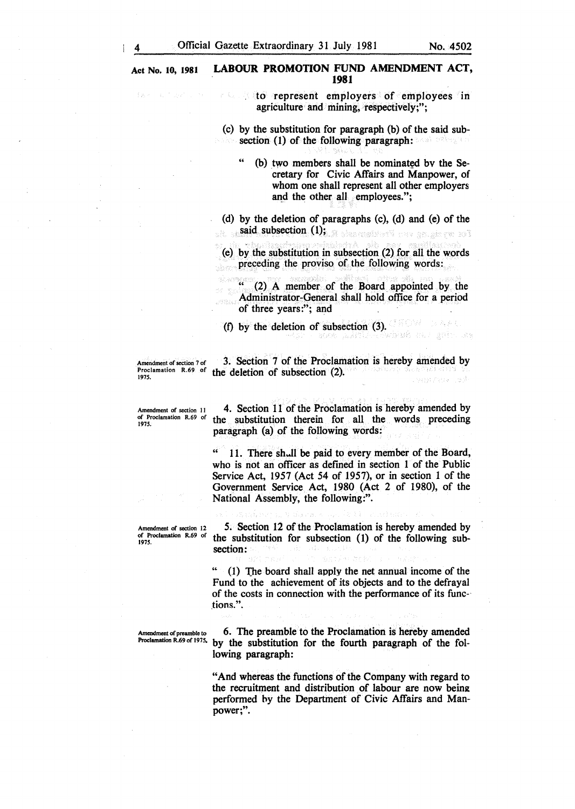$\varphi\in\mathcal{L}_{\mathcal{A}}$ 

#### Act No. 10, 1981 LABOUR PROMOTION FUND AMENDMENT ACT, 1981

to represent employers of employees in Ą. agriculture and mining, respectively;";

(c) by the substitution for paragraph (b) of the said subsection (1) of the following paragraph:

(b) two members shall be nominated by the Secretary for Civic Affairs and Manpower, of whom one shall represent all other employers and the other all employees.";

(d) by the deletion of paragraphs (c), (d) and (e) of the said subsection (1); A sharehold the sensing roll

(e) by the substitution in subsection (2) for all the words preceding the proviso of the following words:

(2) A member of the Board appointed by the Administrator-General shall hold office for a period of three years:"; and

(f) by the deletion of subsection (3).

Amendment of section 7 of 3. Section 7 of the Proclamation is hereby amended by Proclamation R.69 of the deletion of subsection (2).

Amendment of section II of Proclamation R.69 of 1975.

4. Section 11 of the Proclamation is hereby amended by the substitution therein for all the words preceding paragraph (a) of the following words:

" 11. There sh..Jl be paid to every member of the Board, who is not an officer as defmed in section 1 of the Public Service Act, 1957 (Act 54 of 1957), or in section 1 of the Government Service Act, 1980 (Act 2 of 1980), of the National Assembly, the following:".

Amendment of section 12 of Proclamation R.69 of 1975.

5. Section 12 of the Proclamation is hereby amended by the substitution for subsection (1) of the following subsection:

 $"$  (1) The board shall apply the net annual income of the Fund to the achievement of its objects and to the defrayal of the costs in connection with the performance of its func tions.".

Amendment of preamble to  $\frac{6}{1275}$ . The preamble to the Proclamation is hereby amended Proclamation R.69 of 1975. by the substitution for the fourth naragraph of the folby the substitution for the fourth paragraph of the following paragraph:

> "And whereas the functions of the Company with regard to the recruitment and distribution of labour are now being performed hy the Department of Civic Affairs and Manpower;".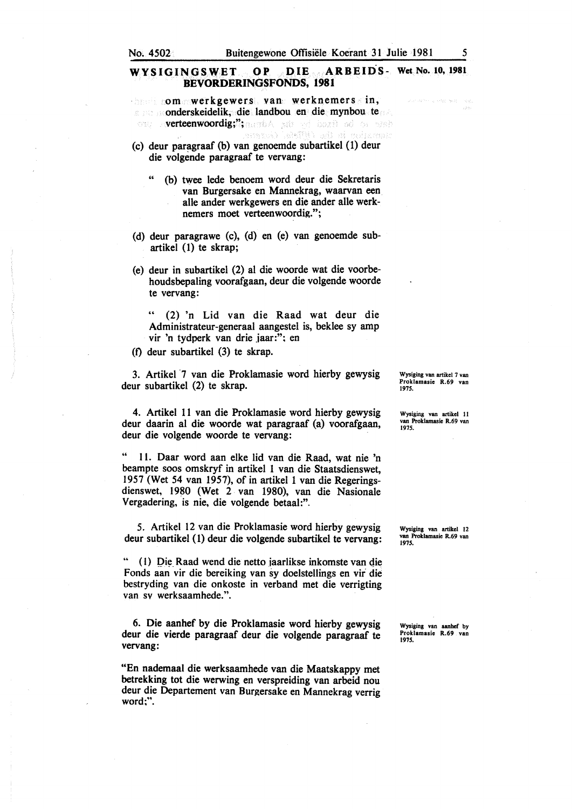### WYSIGINGSWET OP DIE ARBEIDS- Wet No. 10, 1981 BEVORDERINGSFONDS, 1981

om werkgewers van werknemers in, s onderskeidelik, die landbou en die mynbou te verteenwoordig;"; and say and began od or each leteMtt) alt si måvener

(c) deur paragraaf (b) van genoemde subartikel (1) deur die volgende paragraaf te vervang:

- (b) twee lede benoem word deur die Sekretaris van Burgersake en Mannekrag, waarvan een. aile ander werkgewers en die ander aile werknemers moet verteenwoordig.";
- (d) deur paragrawe (c), (d) en (e) van genoemde subartikel (1) te skrap;
- (e) deur in subartikel (2) al die woorde wat die voorbehoudsbepaling voorafgaan, deur die volgende woorde te vervang:

" (2) 'n Lid van die Raad wat deur die Administrateur-generaal aangestel is, beklee sy amp vir 'n tydperk van drie jaar:"; en

(f) deur subartikel (3) te skrap.

3. Artikel ·7 van die Proklamasie word hierby gewysig deur subartikel (2) te skrap.

4. Artikel 11 van die Proklamasie word hierby gewysig deur daarin al die woorde wat paragraaf (a) voorafgaan, deur die volgende woorde te vervang:

" ll. Daar word aan elke lid van die Raad, wat nie 'n beampte soos omskryf in artikel 1 van die Staatsdienswet, 1957 (Wet 54 van 1957), of in artikel 1 van die Regeringsdienswet, 1980 (Wet 2 van 1980), van die Nasionale Vergadering, is nie, die volgende betaal:".

5. Artikel 12 van die Proklamasie word hierby gewysig deur subartikel (I) deur die volgende subartikel te vervang:

•• ( I) Die Raad wend die netto iaarlikse inkomste van die Fonds aan vir die bereiking van sy doelstellings en vir die bestryding van die onkoste in verband met die verrigting van sv werksaamhede.".

6. Die aanhef by die Proklamasie word hierby gewysig deur die vierde paragraaf deur die volgende paragraaf te vervang:

"En nademaal die werksaamhede van die Maatskappy met betrekking tot die werwing en verspreiding van arbeid nou deur die Departement van Burgersake en Mannekrag verrig word:".

Wysiging van artikel 7 van Proklamasie R.69 van 1975.

Wysiging van artikel II van Proklamasie R.69 van 1975.

Wysiging van artikel 12 van Proklamasie R.69 van 1975.

Wysiging van aanhef by Proklamasie R.69 van 1975.

and artist a lister and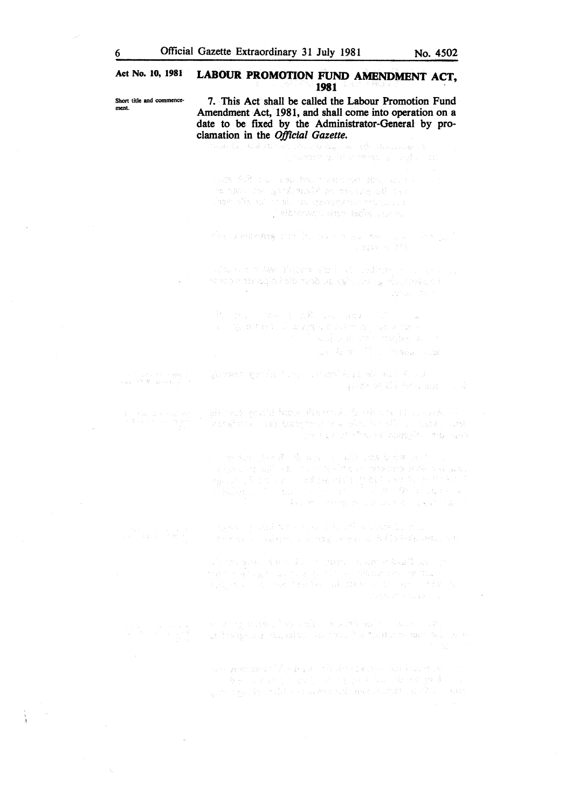#### Act No. 10, 1981 LABOUR PROMOTION FUND AMENDMENT ACT, 1981 .

Short title and commence- 7. This Act shall be called the Labour Promotion Fund ment. Amendment Act, 1981, and shall come into operation on a date to be fixed by the Administrator-General by proclamation in the *Official Gazette.* nyokamban sa kaominina amin'ny fivondronan with that we want that makes her stock and to ro anno 1980 gordhmachd na maoine 1136 air เจ้าจะเป็น เพียงการตั้ง หรือเจริงจริง จะเป็นประเทศ . Tehnovou shtr tečni qurru Philadelphia and Alexandre Monte and Alexandre alian non-ke phiare ali bajo caline, compositor is subsequently an  $\sqrt{2}$  and deuts dependent of  $\alpha$  $\epsilon$ in the compact of the company of the same.<br>In the control of the supervision many same form  $\label{eq:1} \mathbb{E}_{\mathbf{x},\mathbf{y}} = \mathbb{E}_{\mathbf{x},\mathbf{y}} \left[ \mathbf{y} \right] = \mathbb{E}_{\mathbf{x},\mathbf{y}} \left[ \mathbf{y} \right] = \mathbb{E}_{\mathbf{x},\mathbf{y}} \left[ \mathbf{y} \right] \mathbf{y} + \mathbf{y} \mathbf{y} \mathbf{y} \mathbf{y} + \mathbf{y} \mathbf{y} \mathbf{y} \mathbf{y}$ glavant genda huse condition along of our ine (1959), en la segunda.<br>Valori (1964), electronical al II-lea - BackWeller 通复 化抗压油过滤 n Si an Annual transferred American confidence the anagusta (19) geedusta alam militar militar (1999)<br>Anagusta (19) geedusta alam militar militar (1999) (199 .<br>วิทยายัน คำวันที่ 1 กันยายัน (2008) ที่คำว่า ที่ยนิยา ฉบปร ( ) 计内容 计环界 情 的现在分词 联合的现在分词 经合作 a ang pangalang ang pangalang nang mga mga mga mga kalalang sa pang anger (1957).<br>1980 – Alexandrij Standard (1968), skrivenski skladatelj<br>1980 – Alexandrij Standard (1968), skrivenski skladatelj  $\langle \xi_{\rm{max}} \rangle$  $\tilde{A}_{\rm{S}}$  , so the state  $\tilde{g}_{\rm{S}}$  and  $\tilde{g}_{\rm{S}}$  and  $\tilde{g}_{\rm{S}}$  ,  $\tilde{g}_{\rm{S}}$  , and ages of and the coupling of a children in the i Santan (1996) na taong sa kasa Bilipinin san pa asi mengan dalam dan menggunakan dalam dialam penyatan dan sebagai dan penyatan penyatan dan sebagai dan beras<br>Penyatan dan panjan menurut dan panjan dan menurut dan menurut dan menganjan dan penyatan dan penyatan dan me<br>P of they say that is an industry that a book to a sta ng ay geolor Special May Bargas, and Barbert Leader your advised on the e se posteriore<br>1911 : Benedictus (1914-1920) est consigné de partident par Benedictus<br>1920 : Le San Maldon et Alexandre and Alexandre Benedictus

 $\sim$  .

 $\bar{z}$ 

 $\mathcal{R}_\mathrm{c}$